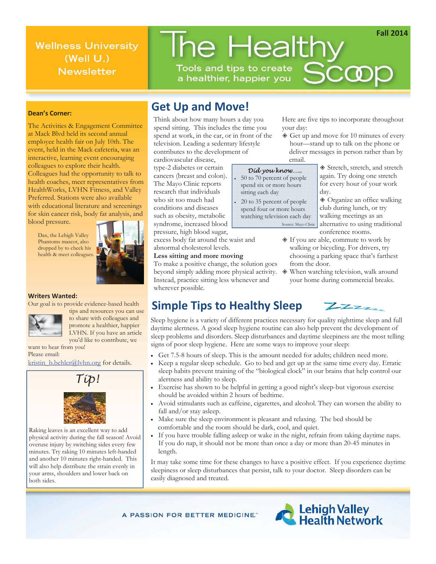**Wellness University**  $(Well U.)$ **Newsletter** 

# The Healthy Tools and tips to create **SCCOR**

a healthier, happier you

### **Dean's Corner:**

The Activities & Engagement Committee at Mack Blvd held its second annual employee health fair on July 10th. The event, held in the Mack cafeteria, was an interactive, learning event encouraging colleagues to explore their health. Colleagues had the opportunity to talk to health coaches, meet representatives from HealthWorks, LVHN Fitness, and Valley Preferred. Stations were also available with educational literature and screenings for skin cancer risk, body fat analysis, and blood pressure.

 Dax, the Lehigh Valley Phantoms mascot, also dropped by to check his health & meet colleagues.



#### **Writers Wanted:**

Our goal is to provide evidence-based health



tips and resources you can use to share with colleagues and promote a healthier, happier LVHN. If you have an article

you'd like to contribute, we want to hear from you! Please email:

kristin\_b.behler@lvhn.org for details.



Raking leaves is an excellent way to add physical activity during the fall season! Avoid overuse injury by switching sides every few minutes. Try raking 10 minutes left-handed and another 10 minutes right-handed. This will also help distribute the strain evenly in your arms, shoulders and lower back on both sides.

## **Get Up and Move!**

Think about how many hours a day you spend sitting. This includes the time you spend at work, in the car, or in front of the television. Leading a sedentary lifestyle contributes to the development of

cardiovascular disease, type-2 diabetes or certain cancers (breast and colon). The Mayo Clinic reports research that individuals who sit too much had conditions and diseases such as obesity, metabolic syndrome, increased blood pressure, high blood sugar,

excess body fat around the waist and abnormal cholesterol levels.

#### **Less sitting and more moving**

To make a positive change, the solution goes beyond simply adding more physical activity. Instead, practice sitting less whenever and wherever possible.

Here are five tips to incorporate throughout your day:

Get up and move for 10 minutes of every hour—stand up to talk on the phone or deliver messages in person rather than by email.

day.

#### *Did you know…..*

- 50 to 70 percent of people spend six or more hours sitting each day
- 20 to 35 percent of people spend four or more hours watching television each day Source: Mayo Clinic

Stretch, stretch, and stretch again. Try doing one stretch for every hour of your work

Organize an office walking club during lunch, or try walking meetings as an alternative to using traditional conference rooms.

- $\textcircled{1}$  If you are able, commute to work by walking or bicycling. For drivers, try choosing a parking space that's farthest from the door.
- When watching television, walk around your home during commercial breaks.

 $\mathbb{Z}$ 

## **Simple Tips to Healthy Sleep**

Sleep hygiene is a variety of different practices necessary for quality nighttime sleep and full daytime alertness. A good sleep hygiene routine can also help prevent the development of sleep problems and disorders. Sleep disturbances and daytime sleepiness are the most telling signs of poor sleep hygiene. Here are some ways to improve your sleep:

- x Get 7.5-8 hours of sleep. This is the amount needed for adults; children need more.
- x Keep a regular sleep schedule. Go to bed and get up at the same time every day. Erratic sleep habits prevent training of the "biological clock" in our brains that help control our alertness and ability to sleep.
- x Exercise has shown to be helpful in getting a good night's sleep-but vigorous exercise should be avoided within 2 hours of bedtime.
- x Avoid stimulants such as caffeine, cigarettes, and alcohol. They can worsen the ability to fall and/or stay asleep.
- Make sure the sleep environment is pleasant and relaxing. The bed should be comfortable and the room should be dark, cool, and quiet.
- If you have trouble falling asleep or wake in the night, refrain from taking daytime naps. If you do nap, it should not be more than once a day or more than 20-45 minutes in length.

It may take some time for these changes to have a positive effect. If you experience daytime sleepiness or sleep disturbances that persist, talk to your doctor. Sleep disorders can be easily diagnosed and treated.

A PASSION FOR BETTER MEDICINE."